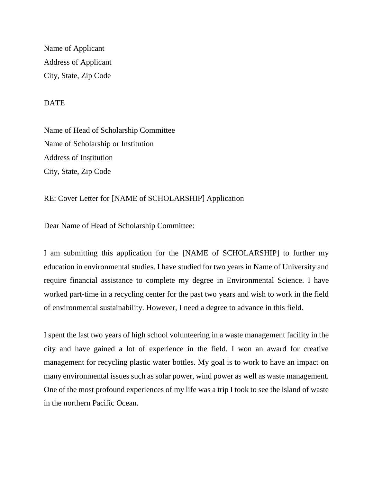Name of Applicant Address of Applicant City, State, Zip Code

**DATE** 

Name of Head of Scholarship Committee Name of Scholarship or Institution Address of Institution City, State, Zip Code

RE: Cover Letter for [NAME of SCHOLARSHIP] Application

Dear Name of Head of Scholarship Committee:

I am submitting this application for the [NAME of SCHOLARSHIP] to further my education in environmental studies. I have studied for two years in Name of University and require financial assistance to complete my degree in Environmental Science. I have worked part-time in a recycling center for the past two years and wish to work in the field of environmental sustainability. However, I need a degree to advance in this field.

I spent the last two years of high school volunteering in a waste management facility in the city and have gained a lot of experience in the field. I won an award for creative management for recycling plastic water bottles. My goal is to work to have an impact on many environmental issues such as solar power, wind power as well as waste management. One of the most profound experiences of my life was a trip I took to see the island of waste in the northern Pacific Ocean.